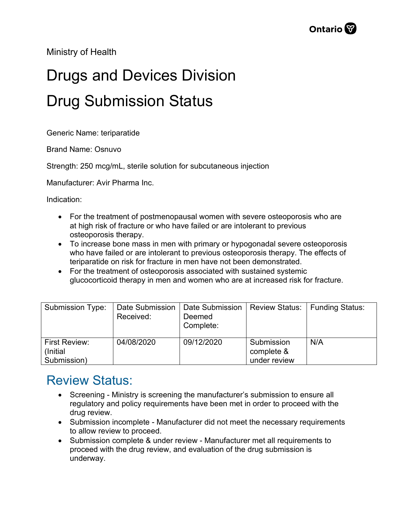Ministry of Health

## Drugs and Devices Division Drug Submission Status

Generic Name: teriparatide

Brand Name: Osnuvo

Strength: 250 mcg/mL, sterile solution for subcutaneous injection

Manufacturer: Avir Pharma Inc.

Indication:

- For the treatment of postmenopausal women with severe osteoporosis who are at high risk of fracture or who have failed or are intolerant to previous osteoporosis therapy.
- To increase bone mass in men with primary or hypogonadal severe osteoporosis who have failed or are intolerant to previous osteoporosis therapy. The effects of teriparatide on risk for fracture in men have not been demonstrated.
- For the treatment of osteoporosis associated with sustained systemic glucocorticoid therapy in men and women who are at increased risk for fracture.

| Submission Type:                  | Date Submission<br>Received: | Date Submission<br>Deemed<br>Complete: | <b>Review Status:</b>    | Funding Status: |
|-----------------------------------|------------------------------|----------------------------------------|--------------------------|-----------------|
| <b>First Review:</b><br>(Initial) | 04/08/2020                   | 09/12/2020                             | Submission<br>complete & | N/A             |
| Submission)                       |                              |                                        | under review             |                 |

## Review Status:

- Screening Ministry is screening the manufacturer's submission to ensure all regulatory and policy requirements have been met in order to proceed with the drug review.
- Submission incomplete Manufacturer did not meet the necessary requirements to allow review to proceed.
- Submission complete & under review Manufacturer met all requirements to proceed with the drug review, and evaluation of the drug submission is underway.